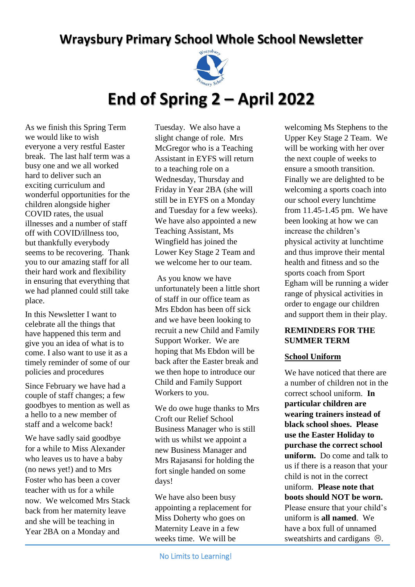# **Wraysbury Primary School Whole School Newsletter**



## **End of Spring 2 – April 2022**

As we finish this Spring Term we would like to wish everyone a very restful Easter break. The last half term was a busy one and we all worked hard to deliver such an exciting curriculum and wonderful opportunities for the children alongside higher COVID rates, the usual illnesses and a number of staff off with COVID/illness too, but thankfully everybody seems to be recovering. Thank you to our amazing staff for all their hard work and flexibility in ensuring that everything that we had planned could still take place.

In this Newsletter I want to celebrate all the things that have happened this term and give you an idea of what is to come. I also want to use it as a timely reminder of some of our policies and procedures

Since February we have had a couple of staff changes; a few goodbyes to mention as well as a hello to a new member of staff and a welcome back!

We have sadly said goodbye for a while to Miss Alexander who leaves us to have a baby (no news yet!) and to Mrs Foster who has been a cover teacher with us for a while now. We welcomed Mrs Stack back from her maternity leave and she will be teaching in Year 2BA on a Monday and

Tuesday. We also have a slight change of role. Mrs McGregor who is a Teaching Assistant in EYFS will return to a teaching role on a Wednesday, Thursday and Friday in Year 2BA (she will still be in EYFS on a Monday and Tuesday for a few weeks). We have also appointed a new Teaching Assistant, Ms Wingfield has joined the Lower Key Stage 2 Team and we welcome her to our team.

As you know we have unfortunately been a little short of staff in our office team as Mrs Ebdon has been off sick and we have been looking to recruit a new Child and Family Support Worker. We are hoping that Ms Ebdon will be back after the Easter break and we then hope to introduce our Child and Family Support Workers to you.

We do owe huge thanks to Mrs Croft our Relief School Business Manager who is still with us whilst we appoint a new Business Manager and Mrs Rajasansi for holding the fort single handed on some days!

We have also been busy appointing a replacement for Miss Doherty who goes on Maternity Leave in a few weeks time. We will be

No Limits to Learning! 1

welcoming Ms Stephens to the Upper Key Stage 2 Team. We will be working with her over the next couple of weeks to ensure a smooth transition. Finally we are delighted to be welcoming a sports coach into our school every lunchtime from 11.45-1.45 pm. We have been looking at how we can increase the children's physical activity at lunchtime and thus improve their mental health and fitness and so the sports coach from Sport Egham will be running a wider range of physical activities in order to engage our children and support them in their play.

#### **REMINDERS FOR THE SUMMER TERM**

#### **School Uniform**

We have noticed that there are a number of children not in the correct school uniform. **In particular children are wearing trainers instead of black school shoes. Please use the Easter Holiday to purchase the correct school uniform.** Do come and talk to us if there is a reason that your child is not in the correct uniform. **Please note that boots should NOT be worn.** Please ensure that your child's uniform is **all named**. We have a box full of unnamed sweatshirts and cardigans  $\odot$ .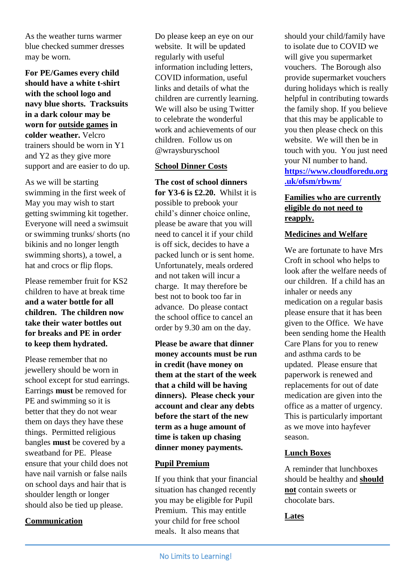As the weather turns warmer blue checked summer dresses may be worn.

**For PE/Games every child should have a white t-shirt with the school logo and navy blue shorts. Tracksuits in a dark colour may be worn for outside games in colder weather.** Velcro trainers should be worn in Y1 and Y2 as they give more support and are easier to do up.

As we will be starting swimming in the first week of May you may wish to start getting swimming kit together. Everyone will need a swimsuit or swimming trunks/ shorts (no bikinis and no longer length swimming shorts), a towel, a hat and crocs or flip flops.

Please remember fruit for KS2 children to have at break time **and a water bottle for all children. The children now take their water bottles out for breaks and PE in order to keep them hydrated.**

Please remember that no jewellery should be worn in school except for stud earrings. Earrings **must** be removed for PE and swimming so it is better that they do not wear them on days they have these things. Permitted religious bangles **must** be covered by a sweatband for PE. Please ensure that your child does not have nail varnish or false nails on school days and hair that is shoulder length or longer should also be tied up please.

#### **Communication**

Do please keep an eye on our website. It will be updated regularly with useful information including letters, COVID information, useful links and details of what the children are currently learning. We will also be using Twitter to celebrate the wonderful work and achievements of our children. Follow us on @wraysburyschool

#### **School Dinner Costs**

**The cost of school dinners for Y3-6 is £2.20.** Whilst it is possible to prebook your child's dinner choice online, please be aware that you will need to cancel it if your child is off sick, decides to have a packed lunch or is sent home. Unfortunately, meals ordered and not taken will incur a charge. It may therefore be best not to book too far in advance. Do please contact the school office to cancel an order by 9.30 am on the day.

**Please be aware that dinner money accounts must be run in credit (have money on them at the start of the week that a child will be having dinners). Please check your account and clear any debts before the start of the new term as a huge amount of time is taken up chasing dinner money payments.**

#### **Pupil Premium**

If you think that your financial situation has changed recently you may be eligible for Pupil Premium. This may entitle your child for free school meals. It also means that

should your child/family have to isolate due to COVID we will give you supermarket vouchers. The Borough also provide supermarket vouchers during holidays which is really helpful in contributing towards the family shop. If you believe that this may be applicable to you then please check on this website. We will then be in touch with you. You just need your NI number to hand. **[https://www.cloudforedu.org](https://www.cloudforedu.org.uk/ofsm/rbwm/) [.uk/ofsm/rbwm/](https://www.cloudforedu.org.uk/ofsm/rbwm/)**

#### **Families who are currently eligible do not need to reapply.**

#### **Medicines and Welfare**

We are fortunate to have Mrs Croft in school who helps to look after the welfare needs of our children. If a child has an inhaler or needs any medication on a regular basis please ensure that it has been given to the Office. We have been sending home the Health Care Plans for you to renew and asthma cards to be updated. Please ensure that paperwork is renewed and replacements for out of date medication are given into the office as a matter of urgency. This is particularly important as we move into hayfever season.

#### **Lunch Boxes**

A reminder that lunchboxes should be healthy and **should not** contain sweets or chocolate bars.

#### **Lates**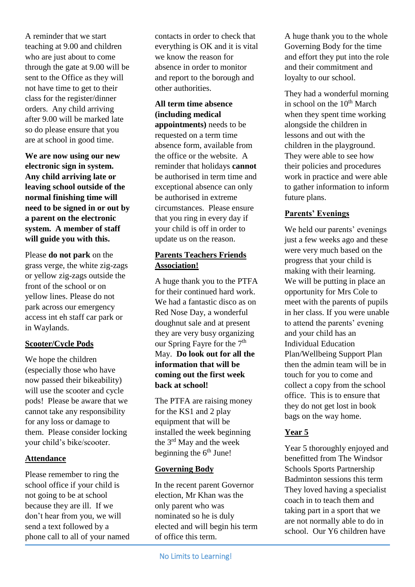A reminder that we start teaching at 9.00 and children who are just about to come through the gate at 9.00 will be sent to the Office as they will not have time to get to their class for the register/dinner orders. Any child arriving after 9.00 will be marked late so do please ensure that you are at school in good time.

**We are now using our new electronic sign in system. Any child arriving late or leaving school outside of the normal finishing time will need to be signed in or out by a parent on the electronic system. A member of staff will guide you with this.**

Please **do not park** on the grass verge, the white zig-zags or yellow zig-zags outside the front of the school or on yellow lines. Please do not park across our emergency access int eh staff car park or in Waylands.

#### **Scooter/Cycle Pods**

We hope the children (especially those who have now passed their bikeability) will use the scooter and cycle pods! Please be aware that we cannot take any responsibility for any loss or damage to them. Please consider locking your child's bike/scooter.

#### **Attendance**

Please remember to ring the school office if your child is not going to be at school because they are ill. If we don't hear from you, we will send a text followed by a phone call to all of your named contacts in order to check that everything is OK and it is vital we know the reason for absence in order to monitor and report to the borough and other authorities.

### **All term time absence (including medical**

**appointments)** needs to be requested on a term time absence form, available from the office or the website. A reminder that holidays **cannot** be authorised in term time and exceptional absence can only be authorised in extreme circumstances. Please ensure that you ring in every day if your child is off in order to update us on the reason.

#### **Parents Teachers Friends Association!**

A huge thank you to the PTFA for their continued hard work. We had a fantastic disco as on Red Nose Day, a wonderful doughnut sale and at present they are very busy organizing our Spring Fayre for the  $7<sup>th</sup>$ May. **Do look out for all the information that will be coming out the first week back at school!**

The PTFA are raising money for the KS1 and 2 play equipment that will be installed the week beginning the 3rd May and the week beginning the  $6<sup>th</sup>$  June!

#### **Governing Body**

In the recent parent Governor election, Mr Khan was the only parent who was nominated so he is duly elected and will begin his term of office this term.

A huge thank you to the whole Governing Body for the time and effort they put into the role and their commitment and loyalty to our school.

They had a wonderful morning in school on the  $10^{th}$  March when they spent time working alongside the children in lessons and out with the children in the playground. They were able to see how their policies and procedures work in practice and were able to gather information to inform future plans.

#### **Parents' Evenings**

We held our parents' evenings just a few weeks ago and these were very much based on the progress that your child is making with their learning. We will be putting in place an opportunity for Mrs Cole to meet with the parents of pupils in her class. If you were unable to attend the parents' evening and your child has an Individual Education Plan/Wellbeing Support Plan then the admin team will be in touch for you to come and collect a copy from the school office. This is to ensure that they do not get lost in book bags on the way home.

#### **Year 5**

Year 5 thoroughly enjoyed and benefitted from The Windsor Schools Sports Partnership Badminton sessions this term They loved having a specialist coach in to teach them and taking part in a sport that we are not normally able to do in school. Our Y6 children have